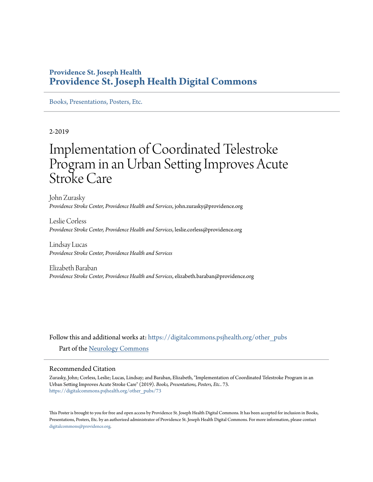### **Providence St. Joseph Health [Providence St. Joseph Health Digital Commons](https://digitalcommons.psjhealth.org?utm_source=digitalcommons.psjhealth.org%2Fother_pubs%2F73&utm_medium=PDF&utm_campaign=PDFCoverPages)**

[Books, Presentations, Posters, Etc.](https://digitalcommons.psjhealth.org/other_pubs?utm_source=digitalcommons.psjhealth.org%2Fother_pubs%2F73&utm_medium=PDF&utm_campaign=PDFCoverPages)

### 2-2019

### Implementation of Coordinated Telestroke Program in an Urban Setting Improves Acute Stroke Care

John Zurasky *Providence Stroke Center, Providence Health and Services*, john.zurasky@providence.org

Leslie Corless *Providence Stroke Center, Providence Health and Services*, leslie.corless@providence.org

Lindsay Lucas *Providence Stroke Center, Providence Health and Services*

Elizabeth Baraban *Providence Stroke Center, Providence Health and Services*, elizabeth.baraban@providence.org

Follow this and additional works at: [https://digitalcommons.psjhealth.org/other\\_pubs](https://digitalcommons.psjhealth.org/other_pubs?utm_source=digitalcommons.psjhealth.org%2Fother_pubs%2F73&utm_medium=PDF&utm_campaign=PDFCoverPages) Part of the [Neurology Commons](http://network.bepress.com/hgg/discipline/692?utm_source=digitalcommons.psjhealth.org%2Fother_pubs%2F73&utm_medium=PDF&utm_campaign=PDFCoverPages)

### Recommended Citation

Zurasky, John; Corless, Leslie; Lucas, Lindsay; and Baraban, Elizabeth, "Implementation of Coordinated Telestroke Program in an Urban Setting Improves Acute Stroke Care" (2019). *Books, Presentations, Posters, Etc.*. 73. [https://digitalcommons.psjhealth.org/other\\_pubs/73](https://digitalcommons.psjhealth.org/other_pubs/73?utm_source=digitalcommons.psjhealth.org%2Fother_pubs%2F73&utm_medium=PDF&utm_campaign=PDFCoverPages)

This Poster is brought to you for free and open access by Providence St. Joseph Health Digital Commons. It has been accepted for inclusion in Books, Presentations, Posters, Etc. by an authorized administrator of Providence St. Joseph Health Digital Commons. For more information, please contact [digitalcommons@providence.org](mailto:digitalcommons@providence.org).